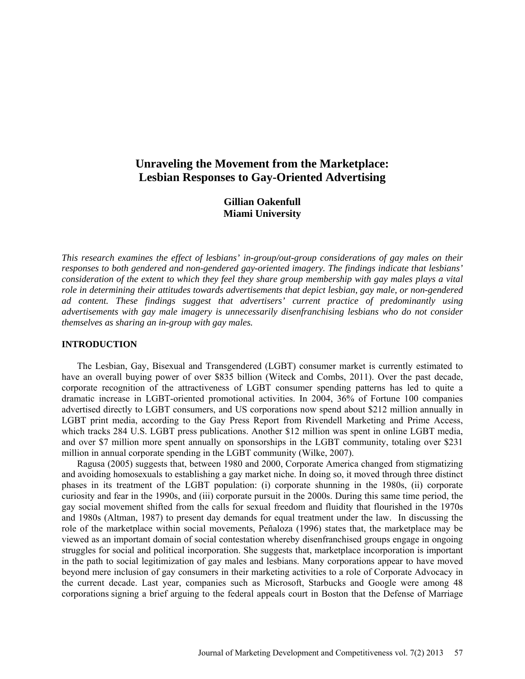# **Unraveling the Movement from the Marketplace: Lesbian Responses to Gay-Oriented Advertising**

**Gillian Oakenfull Miami University**

*This research examines the effect of lesbians' in-group/out-group considerations of gay males on their responses to both gendered and non-gendered gay-oriented imagery. The findings indicate that lesbians' consideration of the extent to which they feel they share group membership with gay males plays a vital role in determining their attitudes towards advertisements that depict lesbian, gay male, or non-gendered ad content. These findings suggest that advertisers' current practice of predominantly using advertisements with gay male imagery is unnecessarily disenfranchising lesbians who do not consider themselves as sharing an in-group with gay males.*

#### **INTRODUCTION**

The Lesbian, Gay, Bisexual and Transgendered (LGBT) consumer market is currently estimated to have an overall buying power of over \$835 billion (Witeck and Combs, 2011). Over the past decade, corporate recognition of the attractiveness of LGBT consumer spending patterns has led to quite a dramatic increase in LGBT-oriented promotional activities. In 2004, 36% of Fortune 100 companies advertised directly to LGBT consumers, and US corporations now spend about \$212 million annually in LGBT print media, according to the Gay Press Report from Rivendell Marketing and Prime Access, which tracks 284 U.S. LGBT press publications. Another \$12 million was spent in online LGBT media, and over \$7 million more spent annually on sponsorships in the LGBT community, totaling over \$231 million in annual corporate spending in the LGBT community (Wilke, 2007).

Ragusa (2005) suggests that, between 1980 and 2000, Corporate America changed from stigmatizing and avoiding homosexuals to establishing a gay market niche. In doing so, it moved through three distinct phases in its treatment of the LGBT population: (i) corporate shunning in the 1980s, (ii) corporate curiosity and fear in the 1990s, and (iii) corporate pursuit in the 2000s. During this same time period, the gay social movement shifted from the calls for sexual freedom and fluidity that flourished in the 1970s and 1980s (Altman, 1987) to present day demands for equal treatment under the law. In discussing the role of the marketplace within social movements, Peñaloza (1996) states that, the marketplace may be viewed as an important domain of social contestation whereby disenfranchised groups engage in ongoing struggles for social and political incorporation. She suggests that, marketplace incorporation is important in the path to social legitimization of gay males and lesbians. Many corporations appear to have moved beyond mere inclusion of gay consumers in their marketing activities to a role of Corporate Advocacy in the current decade. Last year, companies such as Microsoft, Starbucks and Google were among 48 corporations signing a brief arguing to the federal appeals court in Boston that the Defense of Marriage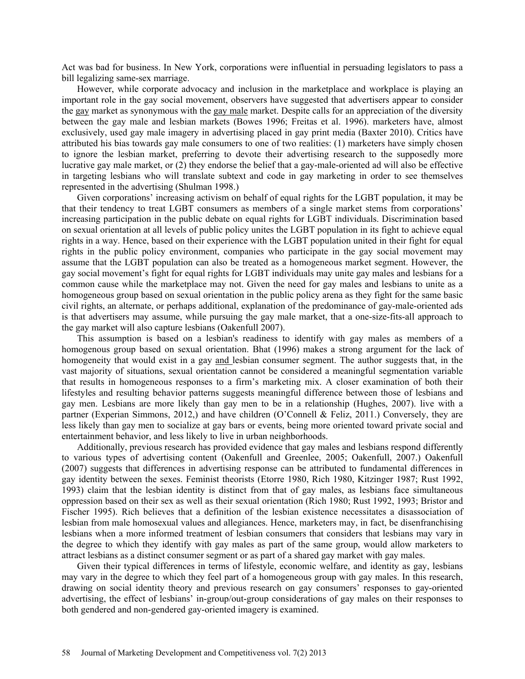Act was bad for business. In New York, corporations were influential in persuading legislators to pass a bill legalizing same-sex marriage.

However, while corporate advocacy and inclusion in the marketplace and workplace is playing an important role in the gay social movement, observers have suggested that advertisers appear to consider the gay market as synonymous with the gay male market. Despite calls for an appreciation of the diversity between the gay male and lesbian markets (Bowes 1996; Freitas et al. 1996). marketers have, almost exclusively, used gay male imagery in advertising placed in gay print media (Baxter 2010). Critics have attributed his bias towards gay male consumers to one of two realities: (1) marketers have simply chosen to ignore the lesbian market, preferring to devote their advertising research to the supposedly more lucrative gay male market, or (2) they endorse the belief that a gay-male-oriented ad will also be effective in targeting lesbians who will translate subtext and code in gay marketing in order to see themselves represented in the advertising (Shulman 1998.)

Given corporations' increasing activism on behalf of equal rights for the LGBT population, it may be that their tendency to treat LGBT consumers as members of a single market stems from corporations' increasing participation in the public debate on equal rights for LGBT individuals. Discrimination based on sexual orientation at all levels of public policy unites the LGBT population in its fight to achieve equal rights in a way. Hence, based on their experience with the LGBT population united in their fight for equal rights in the public policy environment, companies who participate in the gay social movement may assume that the LGBT population can also be treated as a homogeneous market segment. However, the gay social movement's fight for equal rights for LGBT individuals may unite gay males and lesbians for a common cause while the marketplace may not. Given the need for gay males and lesbians to unite as a homogeneous group based on sexual orientation in the public policy arena as they fight for the same basic civil rights, an alternate, or perhaps additional, explanation of the predominance of gay-male-oriented ads is that advertisers may assume, while pursuing the gay male market, that a one-size-fits-all approach to the gay market will also capture lesbians (Oakenfull 2007).

This assumption is based on a lesbian's readiness to identify with gay males as members of a homogenous group based on sexual orientation. Bhat (1996) makes a strong argument for the lack of homogeneity that would exist in a gay and lesbian consumer segment. The author suggests that, in the vast majority of situations, sexual orientation cannot be considered a meaningful segmentation variable that results in homogeneous responses to a firm's marketing mix. A closer examination of both their lifestyles and resulting behavior patterns suggests meaningful difference between those of lesbians and gay men. Lesbians are more likely than gay men to be in a relationship (Hughes, 2007). live with a partner (Experian Simmons, 2012,) and have children (O'Connell & Feliz, 2011.) Conversely, they are less likely than gay men to socialize at gay bars or events, being more oriented toward private social and entertainment behavior, and less likely to live in urban neighborhoods.

Additionally, previous research has provided evidence that gay males and lesbians respond differently to various types of advertising content (Oakenfull and Greenlee, 2005; Oakenfull, 2007.) Oakenfull (2007) suggests that differences in advertising response can be attributed to fundamental differences in gay identity between the sexes. Feminist theorists (Etorre 1980, Rich 1980, Kitzinger 1987; Rust 1992, 1993) claim that the lesbian identity is distinct from that of gay males, as lesbians face simultaneous oppression based on their sex as well as their sexual orientation (Rich 1980; Rust 1992, 1993; Bristor and Fischer 1995). Rich believes that a definition of the lesbian existence necessitates a disassociation of lesbian from male homosexual values and allegiances. Hence, marketers may, in fact, be disenfranchising lesbians when a more informed treatment of lesbian consumers that considers that lesbians may vary in the degree to which they identify with gay males as part of the same group, would allow marketers to attract lesbians as a distinct consumer segment or as part of a shared gay market with gay males.

Given their typical differences in terms of lifestyle, economic welfare, and identity as gay, lesbians may vary in the degree to which they feel part of a homogeneous group with gay males. In this research, drawing on social identity theory and previous research on gay consumers' responses to gay-oriented advertising, the effect of lesbians' in-group/out-group considerations of gay males on their responses to both gendered and non-gendered gay-oriented imagery is examined.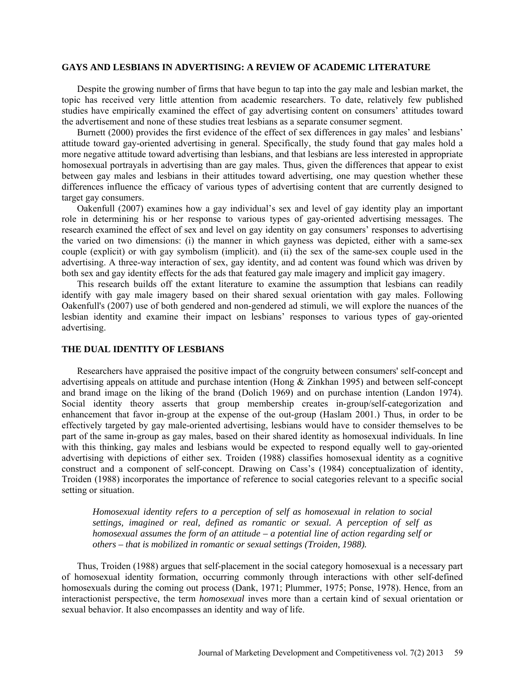# **GAYS AND LESBIANS IN ADVERTISING: A REVIEW OF ACADEMIC LITERATURE**

Despite the growing number of firms that have begun to tap into the gay male and lesbian market, the topic has received very little attention from academic researchers. To date, relatively few published studies have empirically examined the effect of gay advertising content on consumers' attitudes toward the advertisement and none of these studies treat lesbians as a separate consumer segment.

Burnett (2000) provides the first evidence of the effect of sex differences in gay males' and lesbians' attitude toward gay-oriented advertising in general. Specifically, the study found that gay males hold a more negative attitude toward advertising than lesbians, and that lesbians are less interested in appropriate homosexual portrayals in advertising than are gay males. Thus, given the differences that appear to exist between gay males and lesbians in their attitudes toward advertising, one may question whether these differences influence the efficacy of various types of advertising content that are currently designed to target gay consumers.

Oakenfull (2007) examines how a gay individual's sex and level of gay identity play an important role in determining his or her response to various types of gay-oriented advertising messages. The research examined the effect of sex and level on gay identity on gay consumers' responses to advertising the varied on two dimensions: (i) the manner in which gayness was depicted, either with a same-sex couple (explicit) or with gay symbolism (implicit). and (ii) the sex of the same-sex couple used in the advertising. A three-way interaction of sex, gay identity, and ad content was found which was driven by both sex and gay identity effects for the ads that featured gay male imagery and implicit gay imagery.

This research builds off the extant literature to examine the assumption that lesbians can readily identify with gay male imagery based on their shared sexual orientation with gay males. Following Oakenfull's (2007) use of both gendered and non-gendered ad stimuli, we will explore the nuances of the lesbian identity and examine their impact on lesbians' responses to various types of gay-oriented advertising.

# **THE DUAL IDENTITY OF LESBIANS**

Researchers have appraised the positive impact of the congruity between consumers' self-concept and advertising appeals on attitude and purchase intention (Hong & Zinkhan 1995) and between self-concept and brand image on the liking of the brand (Dolich 1969) and on purchase intention (Landon 1974). Social identity theory asserts that group membership creates in-group/self-categorization and enhancement that favor in-group at the expense of the out-group (Haslam 2001.) Thus, in order to be effectively targeted by gay male-oriented advertising, lesbians would have to consider themselves to be part of the same in-group as gay males, based on their shared identity as homosexual individuals. In line with this thinking, gay males and lesbians would be expected to respond equally well to gay-oriented advertising with depictions of either sex. Troiden (1988) classifies homosexual identity as a cognitive construct and a component of self-concept. Drawing on Cass's (1984) conceptualization of identity, Troiden (1988) incorporates the importance of reference to social categories relevant to a specific social setting or situation.

*Homosexual identity refers to a perception of self as homosexual in relation to social settings, imagined or real, defined as romantic or sexual. A perception of self as homosexual assumes the form of an attitude – a potential line of action regarding self or others – that is mobilized in romantic or sexual settings (Troiden, 1988).*

Thus, Troiden (1988) argues that self-placement in the social category homosexual is a necessary part of homosexual identity formation, occurring commonly through interactions with other self-defined homosexuals during the coming out process (Dank, 1971; Plummer, 1975; Ponse, 1978). Hence, from an interactionist perspective, the term *homosexual* inves more than a certain kind of sexual orientation or sexual behavior. It also encompasses an identity and way of life.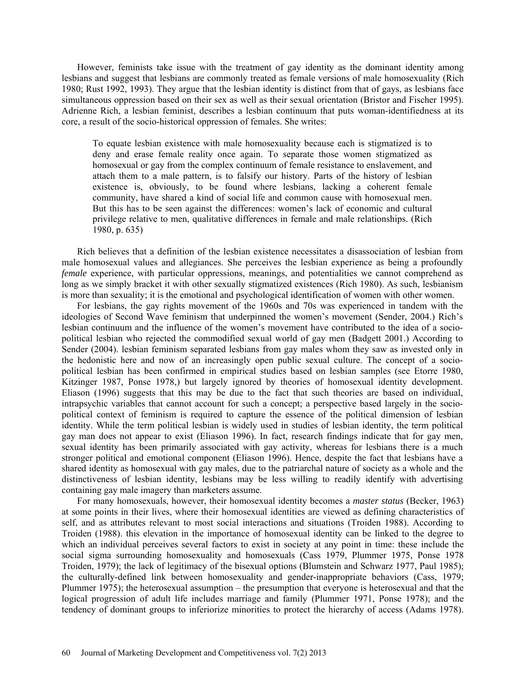However, feminists take issue with the treatment of gay identity as the dominant identity among lesbians and suggest that lesbians are commonly treated as female versions of male homosexuality (Rich 1980; Rust 1992, 1993). They argue that the lesbian identity is distinct from that of gays, as lesbians face simultaneous oppression based on their sex as well as their sexual orientation (Bristor and Fischer 1995). Adrienne Rich, a lesbian feminist, describes a lesbian continuum that puts woman-identifiedness at its core, a result of the socio-historical oppression of females. She writes:

To equate lesbian existence with male homosexuality because each is stigmatized is to deny and erase female reality once again. To separate those women stigmatized as homosexual or gay from the complex continuum of female resistance to enslavement, and attach them to a male pattern, is to falsify our history. Parts of the history of lesbian existence is, obviously, to be found where lesbians, lacking a coherent female community, have shared a kind of social life and common cause with homosexual men. But this has to be seen against the differences: women's lack of economic and cultural privilege relative to men, qualitative differences in female and male relationships. (Rich 1980, p. 635)

Rich believes that a definition of the lesbian existence necessitates a disassociation of lesbian from male homosexual values and allegiances. She perceives the lesbian experience as being a profoundly *female* experience, with particular oppressions, meanings, and potentialities we cannot comprehend as long as we simply bracket it with other sexually stigmatized existences (Rich 1980). As such, lesbianism is more than sexuality; it is the emotional and psychological identification of women with other women.

For lesbians, the gay rights movement of the 1960s and 70s was experienced in tandem with the ideologies of Second Wave feminism that underpinned the women's movement (Sender, 2004.) Rich's lesbian continuum and the influence of the women's movement have contributed to the idea of a sociopolitical lesbian who rejected the commodified sexual world of gay men (Badgett 2001.) According to Sender (2004). lesbian feminism separated lesbians from gay males whom they saw as invested only in the hedonistic here and now of an increasingly open public sexual culture. The concept of a sociopolitical lesbian has been confirmed in empirical studies based on lesbian samples (see Etorre 1980, Kitzinger 1987, Ponse 1978,) but largely ignored by theories of homosexual identity development. Eliason (1996) suggests that this may be due to the fact that such theories are based on individual, intrapsychic variables that cannot account for such a concept; a perspective based largely in the sociopolitical context of feminism is required to capture the essence of the political dimension of lesbian identity. While the term political lesbian is widely used in studies of lesbian identity, the term political gay man does not appear to exist (Eliason 1996). In fact, research findings indicate that for gay men, sexual identity has been primarily associated with gay activity, whereas for lesbians there is a much stronger political and emotional component (Eliason 1996). Hence, despite the fact that lesbians have a shared identity as homosexual with gay males, due to the patriarchal nature of society as a whole and the distinctiveness of lesbian identity, lesbians may be less willing to readily identify with advertising containing gay male imagery than marketers assume.

For many homosexuals, however, their homosexual identity becomes a *master status* (Becker, 1963) at some points in their lives, where their homosexual identities are viewed as defining characteristics of self, and as attributes relevant to most social interactions and situations (Troiden 1988). According to Troiden (1988). this elevation in the importance of homosexual identity can be linked to the degree to which an individual perceives several factors to exist in society at any point in time: these include the social sigma surrounding homosexuality and homosexuals (Cass 1979, Plummer 1975, Ponse 1978 Troiden, 1979); the lack of legitimacy of the bisexual options (Blumstein and Schwarz 1977, Paul 1985); the culturally-defined link between homosexuality and gender-inappropriate behaviors (Cass, 1979; Plummer 1975); the heterosexual assumption – the presumption that everyone is heterosexual and that the logical progression of adult life includes marriage and family (Plummer 1971, Ponse 1978); and the tendency of dominant groups to inferiorize minorities to protect the hierarchy of access (Adams 1978).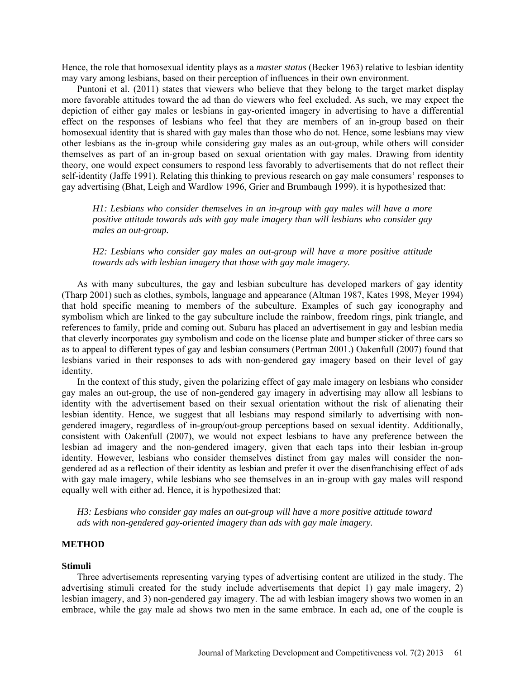Hence, the role that homosexual identity plays as a *master status* (Becker 1963) relative to lesbian identity may vary among lesbians, based on their perception of influences in their own environment.

Puntoni et al. (2011) states that viewers who believe that they belong to the target market display more favorable attitudes toward the ad than do viewers who feel excluded. As such, we may expect the depiction of either gay males or lesbians in gay-oriented imagery in advertising to have a differential effect on the responses of lesbians who feel that they are members of an in-group based on their homosexual identity that is shared with gay males than those who do not. Hence, some lesbians may view other lesbians as the in-group while considering gay males as an out-group, while others will consider themselves as part of an in-group based on sexual orientation with gay males. Drawing from identity theory, one would expect consumers to respond less favorably to advertisements that do not reflect their self-identity (Jaffe 1991). Relating this thinking to previous research on gay male consumers' responses to gay advertising (Bhat, Leigh and Wardlow 1996, Grier and Brumbaugh 1999). it is hypothesized that:

*H1: Lesbians who consider themselves in an in-group with gay males will have a more positive attitude towards ads with gay male imagery than will lesbians who consider gay males an out-group.*

*H2: Lesbians who consider gay males an out-group will have a more positive attitude towards ads with lesbian imagery that those with gay male imagery.*

As with many subcultures, the gay and lesbian subculture has developed markers of gay identity (Tharp 2001) such as clothes, symbols, language and appearance (Altman 1987, Kates 1998, Meyer 1994) that hold specific meaning to members of the subculture. Examples of such gay iconography and symbolism which are linked to the gay subculture include the rainbow, freedom rings, pink triangle, and references to family, pride and coming out. Subaru has placed an advertisement in gay and lesbian media that cleverly incorporates gay symbolism and code on the license plate and bumper sticker of three cars so as to appeal to different types of gay and lesbian consumers (Pertman 2001.) Oakenfull (2007) found that lesbians varied in their responses to ads with non-gendered gay imagery based on their level of gay identity.

In the context of this study, given the polarizing effect of gay male imagery on lesbians who consider gay males an out-group, the use of non-gendered gay imagery in advertising may allow all lesbians to identity with the advertisement based on their sexual orientation without the risk of alienating their lesbian identity. Hence, we suggest that all lesbians may respond similarly to advertising with nongendered imagery, regardless of in-group/out-group perceptions based on sexual identity. Additionally, consistent with Oakenfull (2007), we would not expect lesbians to have any preference between the lesbian ad imagery and the non-gendered imagery, given that each taps into their lesbian in-group identity. However, lesbians who consider themselves distinct from gay males will consider the nongendered ad as a reflection of their identity as lesbian and prefer it over the disenfranchising effect of ads with gay male imagery, while lesbians who see themselves in an in-group with gay males will respond equally well with either ad. Hence, it is hypothesized that:

*H3: Lesbians who consider gay males an out-group will have a more positive attitude toward ads with non-gendered gay-oriented imagery than ads with gay male imagery.*

# **METHOD**

#### **Stimuli**

Three advertisements representing varying types of advertising content are utilized in the study. The advertising stimuli created for the study include advertisements that depict 1) gay male imagery, 2) lesbian imagery, and 3) non-gendered gay imagery. The ad with lesbian imagery shows two women in an embrace, while the gay male ad shows two men in the same embrace. In each ad, one of the couple is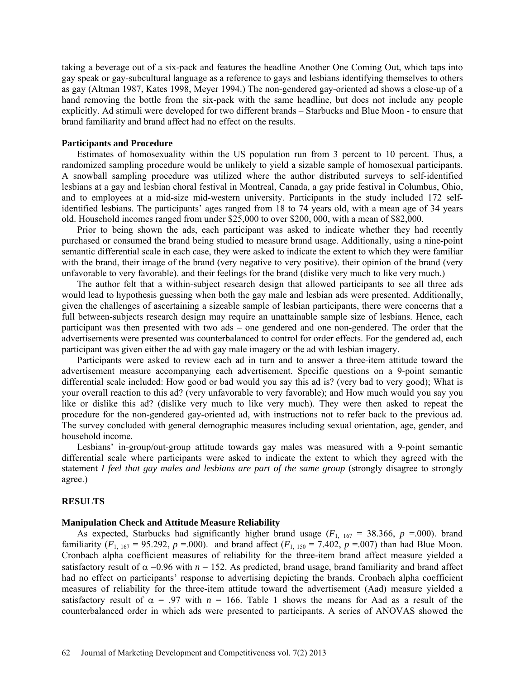taking a beverage out of a six-pack and features the headline Another One Coming Out, which taps into gay speak or gay-subcultural language as a reference to gays and lesbians identifying themselves to others as gay (Altman 1987, Kates 1998, Meyer 1994.) The non-gendered gay-oriented ad shows a close-up of a hand removing the bottle from the six-pack with the same headline, but does not include any people explicitly. Ad stimuli were developed for two different brands – Starbucks and Blue Moon - to ensure that brand familiarity and brand affect had no effect on the results.

#### **Participants and Procedure**

Estimates of homosexuality within the US population run from 3 percent to 10 percent. Thus, a randomized sampling procedure would be unlikely to yield a sizable sample of homosexual participants. A snowball sampling procedure was utilized where the author distributed surveys to self-identified lesbians at a gay and lesbian choral festival in Montreal, Canada, a gay pride festival in Columbus, Ohio, and to employees at a mid-size mid-western university. Participants in the study included 172 selfidentified lesbians. The participants' ages ranged from 18 to 74 years old, with a mean age of 34 years old. Household incomes ranged from under \$25,000 to over \$200, 000, with a mean of \$82,000.

Prior to being shown the ads, each participant was asked to indicate whether they had recently purchased or consumed the brand being studied to measure brand usage. Additionally, using a nine-point semantic differential scale in each case, they were asked to indicate the extent to which they were familiar with the brand, their image of the brand (very negative to very positive), their opinion of the brand (very unfavorable to very favorable). and their feelings for the brand (dislike very much to like very much.)

The author felt that a within-subject research design that allowed participants to see all three ads would lead to hypothesis guessing when both the gay male and lesbian ads were presented. Additionally, given the challenges of ascertaining a sizeable sample of lesbian participants, there were concerns that a full between-subjects research design may require an unattainable sample size of lesbians. Hence, each participant was then presented with two ads – one gendered and one non-gendered. The order that the advertisements were presented was counterbalanced to control for order effects. For the gendered ad, each participant was given either the ad with gay male imagery or the ad with lesbian imagery.

Participants were asked to review each ad in turn and to answer a three-item attitude toward the advertisement measure accompanying each advertisement. Specific questions on a 9-point semantic differential scale included: How good or bad would you say this ad is? (very bad to very good); What is your overall reaction to this ad? (very unfavorable to very favorable); and How much would you say you like or dislike this ad? (dislike very much to like very much). They were then asked to repeat the procedure for the non-gendered gay-oriented ad, with instructions not to refer back to the previous ad. The survey concluded with general demographic measures including sexual orientation, age, gender, and household income.

Lesbians' in-group/out-group attitude towards gay males was measured with a 9-point semantic differential scale where participants were asked to indicate the extent to which they agreed with the statement *I feel that gay males and lesbians are part of the same group* (strongly disagree to strongly agree.)

#### **RESULTS**

# **Manipulation Check and Attitude Measure Reliability**

As expected, Starbucks had significantly higher brand usage  $(F_{1, 167} = 38.366, p = .000)$ . brand familiarity ( $F_{1, 167} = 95.292$ ,  $p = .000$ ). and brand affect ( $F_{1, 150} = 7.402$ ,  $p = .007$ ) than had Blue Moon. Cronbach alpha coefficient measures of reliability for the three-item brand affect measure yielded a satisfactory result of  $\alpha$  =0.96 with  $n = 152$ . As predicted, brand usage, brand familiarity and brand affect had no effect on participants' response to advertising depicting the brands. Cronbach alpha coefficient measures of reliability for the three-item attitude toward the advertisement (Aad) measure yielded a satisfactory result of  $\alpha$  = .97 with  $n = 166$ . Table 1 shows the means for Aad as a result of the counterbalanced order in which ads were presented to participants. A series of ANOVAS showed the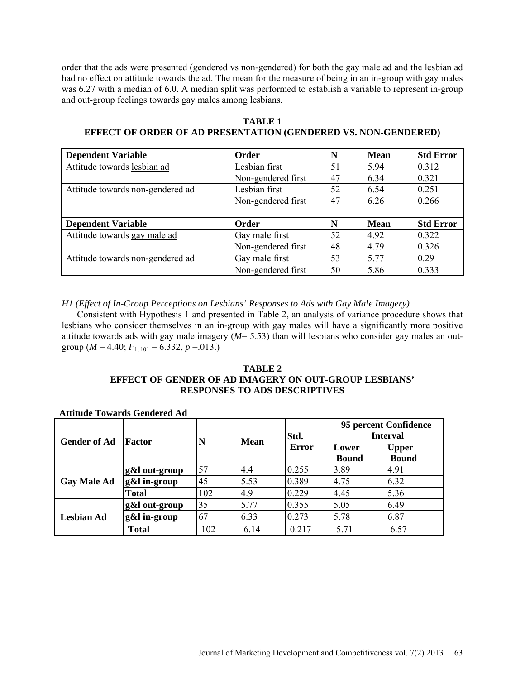order that the ads were presented (gendered vs non-gendered) for both the gay male ad and the lesbian ad had no effect on attitude towards the ad. The mean for the measure of being in an in-group with gay males was 6.27 with a median of 6.0. A median split was performed to establish a variable to represent in-group and out-group feelings towards gay males among lesbians.

| <b>Dependent Variable</b>        | Order              | N  | <b>Mean</b> | <b>Std Error</b> |
|----------------------------------|--------------------|----|-------------|------------------|
| Attitude towards lesbian ad      | Lesbian first      | 51 | 5.94        | 0.312            |
|                                  | Non-gendered first | 47 | 6.34        | 0.321            |
| Attitude towards non-gendered ad | Lesbian first      | 52 | 6.54        | 0.251            |
|                                  | Non-gendered first | 47 | 6.26        | 0.266            |
|                                  |                    |    |             |                  |
|                                  |                    |    |             |                  |
| <b>Dependent Variable</b>        | Order              | N  | <b>Mean</b> | <b>Std Error</b> |
| Attitude towards gay male ad     | Gay male first     | 52 | 4.92        | 0.322            |
|                                  | Non-gendered first | 48 | 4.79        | 0.326            |
| Attitude towards non-gendered ad | Gay male first     | 53 | 5.77        | 0.29             |

**TABLE 1 EFFECT OF ORDER OF AD PRESENTATION (GENDERED VS. NON-GENDERED)**

*H1 (Effect of In-Group Perceptions on Lesbians' Responses to Ads with Gay Male Imagery)*

Consistent with Hypothesis 1 and presented in Table 2, an analysis of variance procedure shows that lesbians who consider themselves in an in-group with gay males will have a significantly more positive attitude towards ads with gay male imagery (*M*= 5.53) than will lesbians who consider gay males an outgroup ( $M = 4.40$ ;  $F_{1,101} = 6.332, p = .013$ .)

# **TABLE 2 EFFECT OF GENDER OF AD IMAGERY ON OUT-GROUP LESBIANS' RESPONSES TO ADS DESCRIPTIVES**

| <b>Gender of Ad</b> | Factor        | N   |      | Std.  | 95 percent Confidence<br><b>Interval</b> |                              |
|---------------------|---------------|-----|------|-------|------------------------------------------|------------------------------|
|                     |               |     | Mean | Error | Lower<br><b>Bound</b>                    | <b>Upper</b><br><b>Bound</b> |
| <b>Gay Male Ad</b>  | g&l out-group | 57  | 4.4  | 0.255 | 3.89                                     | 4.91                         |
|                     | g&l in-group  | 45  | 5.53 | 0.389 | 4.75                                     | 6.32                         |
|                     | Total         | 102 | 4.9  | 0.229 | 4.45                                     | 5.36                         |
| <b>Lesbian Ad</b>   | g&l out-group | 35  | 5.77 | 0.355 | 5.05                                     | 6.49                         |
|                     | g&l in-group  | 67  | 6.33 | 0.273 | 5.78                                     | 6.87                         |
|                     | <b>Total</b>  | 102 | 6.14 | 0.217 | 5 7 1                                    | 6.57                         |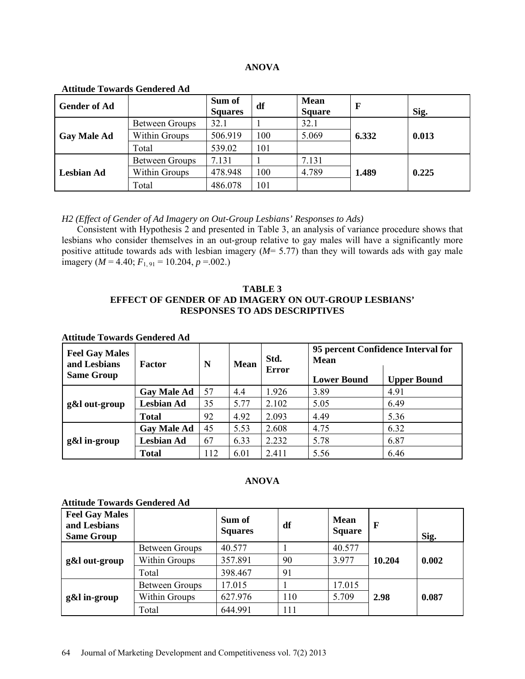# **ANOVA**

| <b>Gender of Ad</b> |                       | Sum of<br><b>Squares</b> | df  | <b>Mean</b><br><b>Square</b> | F     | Sig.  |
|---------------------|-----------------------|--------------------------|-----|------------------------------|-------|-------|
| <b>Gay Male Ad</b>  | Between Groups        | 32.1                     |     | 32.1                         |       | 0.013 |
|                     | Within Groups         | 506.919                  | 100 | 5.069                        | 6.332 |       |
|                     | Total                 | 539.02                   | 101 |                              |       |       |
| <b>Lesbian Ad</b>   | <b>Between Groups</b> | 7.131                    |     | 7.131                        |       |       |
|                     | Within Groups         | 478.948                  | 100 | 4.789                        | 1.489 | 0.225 |
|                     | Total                 | 486.078                  | 101 |                              |       |       |

# **Attitude Towards Gendered Ad**

*H2 (Effect of Gender of Ad Imagery on Out-Group Lesbians' Responses to Ads)*

Consistent with Hypothesis 2 and presented in Table 3, an analysis of variance procedure shows that lesbians who consider themselves in an out-group relative to gay males will have a significantly more positive attitude towards ads with lesbian imagery (*M*= 5.77) than they will towards ads with gay male imagery ( $M = 4.40$ ;  $F_{1,91} = 10.204$ ,  $p = .002$ .)

# **TABLE 3 EFFECT OF GENDER OF AD IMAGERY ON OUT-GROUP LESBIANS' RESPONSES TO ADS DESCRIPTIVES**

| <b>Feel Gay Males</b><br>and Lesbians | <b>Factor</b>      | N   | Mean | Std.         | 95 percent Confidence Interval for<br><b>Mean</b> |                    |  |
|---------------------------------------|--------------------|-----|------|--------------|---------------------------------------------------|--------------------|--|
| <b>Same Group</b>                     |                    |     |      | <b>Error</b> | <b>Lower Bound</b>                                | <b>Upper Bound</b> |  |
| $g\&$ l out-group                     | <b>Gay Male Ad</b> | 57  | 4.4  | 1.926        | 3.89                                              | 4.91               |  |
|                                       | <b>Lesbian Ad</b>  | 35  | 5.77 | 2.102        | 5.05                                              | 6.49               |  |
|                                       | <b>Total</b>       | 92  | 4.92 | 2.093        | 4.49                                              | 5.36               |  |
| g&l in-group                          | <b>Gay Male Ad</b> | 45  | 5.53 | 2.608        | 4.75                                              | 6.32               |  |
|                                       | <b>Lesbian Ad</b>  | 67  | 6.33 | 2.232        | 5.78                                              | 6.87               |  |
|                                       | <b>Total</b>       | 112 | 6.01 | 2.411        | 5.56                                              | 6.46               |  |

### **Attitude Towards Gendered Ad**

# **ANOVA**

# **Attitude Towards Gendered Ad**

| <b>Feel Gay Males</b><br>and Lesbians<br><b>Same Group</b> |                       | Sum of<br><b>Squares</b> | df  | <b>Mean</b><br><b>Square</b> | $\mathbf F$ | Sig.  |
|------------------------------------------------------------|-----------------------|--------------------------|-----|------------------------------|-------------|-------|
|                                                            | <b>Between Groups</b> | 40.577                   |     | 40.577                       |             | 0.002 |
| g&l out-group                                              | Within Groups         | 357.891                  | 90  | 3.977                        | 10.204      |       |
|                                                            | Total                 | 398.467                  | 91  |                              |             |       |
| g&l in-group                                               | <b>Between Groups</b> | 17.015                   |     | 17.015                       |             |       |
|                                                            | Within Groups         | 627.976                  | 110 | 5.709                        | 2.98        | 0.087 |
|                                                            | Total                 | 644.991                  | 111 |                              |             |       |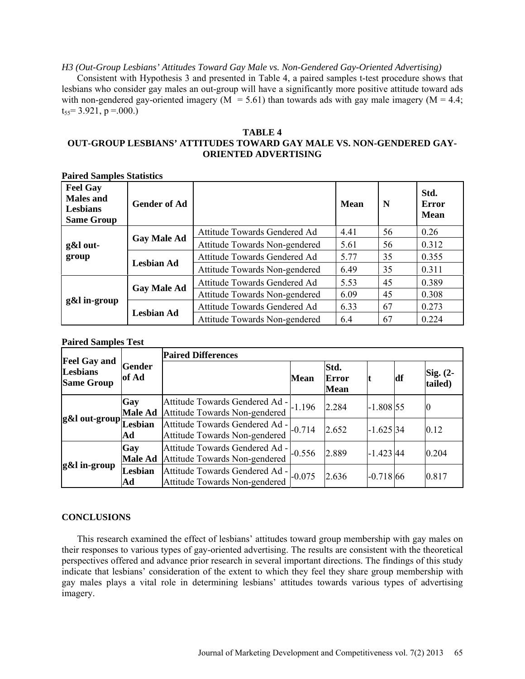*H3 (Out-Group Lesbians' Attitudes Toward Gay Male vs. Non-Gendered Gay-Oriented Advertising)*

Consistent with Hypothesis 3 and presented in Table 4, a paired samples t-test procedure shows that lesbians who consider gay males an out-group will have a significantly more positive attitude toward ads with non-gendered gay-oriented imagery  $(M = 5.61)$  than towards ads with gay male imagery  $(M = 4.4;$  $t_{55}$  = 3.921, p = 000.)

# **TABLE 4**

# **OUT-GROUP LESBIANS' ATTITUDES TOWARD GAY MALE VS. NON-GENDERED GAY-ORIENTED ADVERTISING**

| <b>Feel Gay</b><br><b>Males</b> and<br><b>Lesbians</b><br><b>Same Group</b> | <b>Gender of Ad</b> |                                      | <b>Mean</b> | N  | Std.<br><b>Error</b><br><b>Mean</b> |
|-----------------------------------------------------------------------------|---------------------|--------------------------------------|-------------|----|-------------------------------------|
| g&l out-<br>group                                                           |                     | Attitude Towards Gendered Ad         | 4.41        | 56 | 0.26                                |
|                                                                             | <b>Gay Male Ad</b>  | Attitude Towards Non-gendered        | 5.61        | 56 | 0.312                               |
|                                                                             | <b>Lesbian Ad</b>   | Attitude Towards Gendered Ad         | 5.77        | 35 | 0.355                               |
|                                                                             |                     | Attitude Towards Non-gendered        | 6.49        | 35 | 0.311                               |
| g&l in-group                                                                | <b>Gay Male Ad</b>  | Attitude Towards Gendered Ad         | 5.53        | 45 | 0.389                               |
|                                                                             |                     | <b>Attitude Towards Non-gendered</b> | 6.09        | 45 | 0.308                               |
|                                                                             |                     | Attitude Towards Gendered Ad         | 6.33        | 67 | 0.273                               |
|                                                                             | <b>Lesbian Ad</b>   | <b>Attitude Towards Non-gendered</b> | 6.4         | 67 | 0.224                               |

# **Paired Samples Statistics**

# **Paired Samples Test**

|                                                                                |                       | <b>Paired Differences</b>                                       |             |                                     |             |    |                     |  |  |
|--------------------------------------------------------------------------------|-----------------------|-----------------------------------------------------------------|-------------|-------------------------------------|-------------|----|---------------------|--|--|
| <b>Feel Gay and</b><br>Gender<br><b>Lesbians</b><br>of Ad<br><b>Same Group</b> |                       |                                                                 | <b>Mean</b> | Std.<br><b>Error</b><br><b>Mean</b> |             | df | Sig. (2-<br>tailed) |  |  |
| g&l out-group<br>Lesbian                                                       | Gay<br><b>Male Ad</b> | Attitude Towards Gendered Ad -<br>Attitude Towards Non-gendered | $-1.196$    | 2.284                               | $-1.808$ 55 |    |                     |  |  |
|                                                                                | Αd                    | Attitude Towards Gendered Ad -<br>Attitude Towards Non-gendered | $-0.714$    | 2.652                               | $-1.625$ 34 |    | 0.12                |  |  |
|                                                                                | Gay<br><b>Male Ad</b> | Attitude Towards Gendered Ad -<br>Attitude Towards Non-gendered | $-0.556$    | 2.889                               | $-1.423$ 44 |    | 0.204               |  |  |
| g&l in-group                                                                   | Lesbian<br>Αd         | Attitude Towards Gendered Ad -<br>Attitude Towards Non-gendered | $-0.075$    | 2.636                               | $-0.718$ 66 |    | 0.817               |  |  |

# **CONCLUSIONS**

This research examined the effect of lesbians' attitudes toward group membership with gay males on their responses to various types of gay-oriented advertising. The results are consistent with the theoretical perspectives offered and advance prior research in several important directions. The findings of this study indicate that lesbians' consideration of the extent to which they feel they share group membership with gay males plays a vital role in determining lesbians' attitudes towards various types of advertising imagery.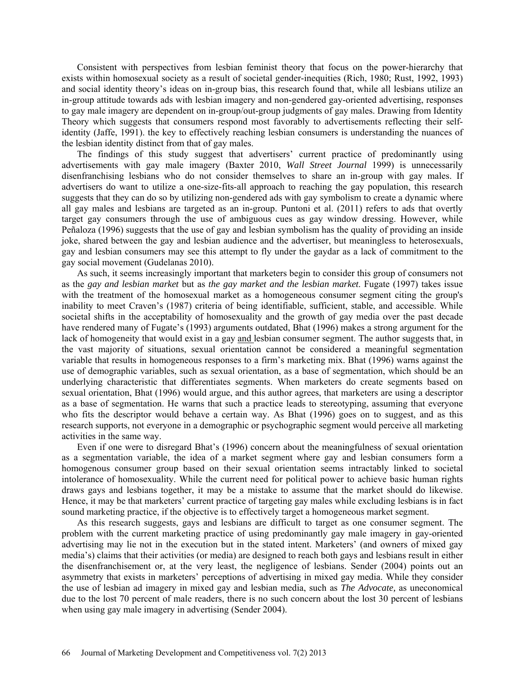Consistent with perspectives from lesbian feminist theory that focus on the power-hierarchy that exists within homosexual society as a result of societal gender-inequities (Rich, 1980; Rust, 1992, 1993) and social identity theory's ideas on in-group bias, this research found that, while all lesbians utilize an in-group attitude towards ads with lesbian imagery and non-gendered gay-oriented advertising, responses to gay male imagery are dependent on in-group/out-group judgments of gay males. Drawing from Identity Theory which suggests that consumers respond most favorably to advertisements reflecting their selfidentity (Jaffe, 1991). the key to effectively reaching lesbian consumers is understanding the nuances of the lesbian identity distinct from that of gay males.

The findings of this study suggest that advertisers' current practice of predominantly using advertisements with gay male imagery (Baxter 2010, *Wall Street Journal* 1999) is unnecessarily disenfranchising lesbians who do not consider themselves to share an in-group with gay males. If advertisers do want to utilize a one-size-fits-all approach to reaching the gay population, this research suggests that they can do so by utilizing non-gendered ads with gay symbolism to create a dynamic where all gay males and lesbians are targeted as an in-group. Puntoni et al. (2011) refers to ads that overtly target gay consumers through the use of ambiguous cues as gay window dressing. However, while Peñaloza (1996) suggests that the use of gay and lesbian symbolism has the quality of providing an inside joke, shared between the gay and lesbian audience and the advertiser, but meaningless to heterosexuals, gay and lesbian consumers may see this attempt to fly under the gaydar as a lack of commitment to the gay social movement (Gudelanas 2010).

As such, it seems increasingly important that marketers begin to consider this group of consumers not as the *gay and lesbian market* but as *the gay market and the lesbian market*. Fugate (1997) takes issue with the treatment of the homosexual market as a homogeneous consumer segment citing the group's inability to meet Craven's (1987) criteria of being identifiable, sufficient, stable, and accessible. While societal shifts in the acceptability of homosexuality and the growth of gay media over the past decade have rendered many of Fugate's (1993) arguments outdated, Bhat (1996) makes a strong argument for the lack of homogeneity that would exist in a gay and lesbian consumer segment. The author suggests that, in the vast majority of situations, sexual orientation cannot be considered a meaningful segmentation variable that results in homogeneous responses to a firm's marketing mix. Bhat (1996) warns against the use of demographic variables, such as sexual orientation, as a base of segmentation, which should be an underlying characteristic that differentiates segments. When marketers do create segments based on sexual orientation, Bhat (1996) would argue, and this author agrees, that marketers are using a descriptor as a base of segmentation. He warns that such a practice leads to stereotyping, assuming that everyone who fits the descriptor would behave a certain way. As Bhat (1996) goes on to suggest, and as this research supports, not everyone in a demographic or psychographic segment would perceive all marketing activities in the same way.

Even if one were to disregard Bhat's (1996) concern about the meaningfulness of sexual orientation as a segmentation variable, the idea of a market segment where gay and lesbian consumers form a homogenous consumer group based on their sexual orientation seems intractably linked to societal intolerance of homosexuality. While the current need for political power to achieve basic human rights draws gays and lesbians together, it may be a mistake to assume that the market should do likewise. Hence, it may be that marketers' current practice of targeting gay males while excluding lesbians is in fact sound marketing practice, if the objective is to effectively target a homogeneous market segment.

As this research suggests, gays and lesbians are difficult to target as one consumer segment. The problem with the current marketing practice of using predominantly gay male imagery in gay-oriented advertising may lie not in the execution but in the stated intent. Marketers' (and owners of mixed gay media's) claims that their activities (or media) are designed to reach both gays and lesbians result in either the disenfranchisement or, at the very least, the negligence of lesbians. Sender (2004) points out an asymmetry that exists in marketers' perceptions of advertising in mixed gay media. While they consider the use of lesbian ad imagery in mixed gay and lesbian media, such as *The Advocate,* as uneconomical due to the lost 70 percent of male readers, there is no such concern about the lost 30 percent of lesbians when using gay male imagery in advertising (Sender 2004).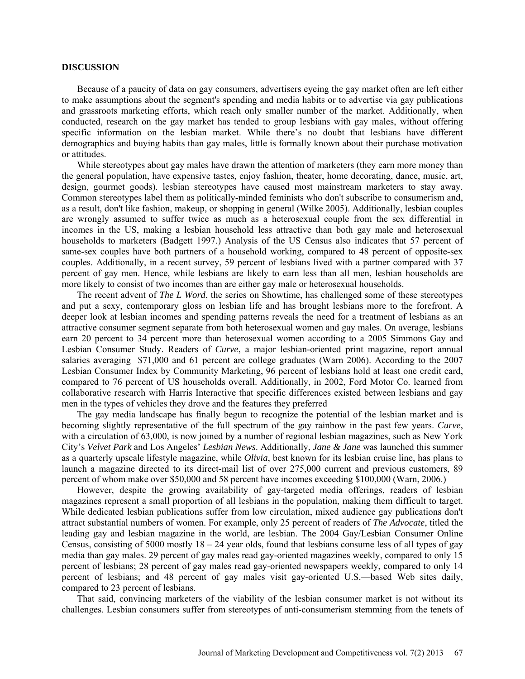#### **DISCUSSION**

Because of a paucity of data on gay consumers, advertisers eyeing the gay market often are left either to make assumptions about the segment's spending and media habits or to advertise via gay publications and grassroots marketing efforts, which reach only smaller number of the market. Additionally, when conducted, research on the gay market has tended to group lesbians with gay males, without offering specific information on the lesbian market. While there's no doubt that lesbians have different demographics and buying habits than gay males, little is formally known about their purchase motivation or attitudes.

While stereotypes about gay males have drawn the attention of marketers (they earn more money than the general population, have expensive tastes, enjoy fashion, theater, home decorating, dance, music, art, design, gourmet goods). lesbian stereotypes have caused most mainstream marketers to stay away. Common stereotypes label them as politically-minded feminists who don't subscribe to consumerism and, as a result, don't like fashion, makeup, or shopping in general (Wilke 2005). Additionally, lesbian couples are wrongly assumed to suffer twice as much as a heterosexual couple from the sex differential in incomes in the US, making a lesbian household less attractive than both gay male and heterosexual households to marketers (Badgett 1997.) Analysis of the US Census also indicates that 57 percent of same-sex couples have both partners of a household working, compared to 48 percent of opposite-sex couples. Additionally, in a recent survey, 59 percent of lesbians lived with a partner compared with 37 percent of gay men. Hence, while lesbians are likely to earn less than all men, lesbian households are more likely to consist of two incomes than are either gay male or heterosexual households.

The recent advent of *The L Word*, the series on Showtime, has challenged some of these stereotypes and put a sexy, contemporary gloss on lesbian life and has brought lesbians more to the forefront. A deeper look at lesbian incomes and spending patterns reveals the need for a treatment of lesbians as an attractive consumer segment separate from both heterosexual women and gay males. On average, lesbians earn 20 percent to 34 percent more than heterosexual women according to a 2005 Simmons Gay and Lesbian Consumer Study. Readers of *Curve*, a major lesbian-oriented print magazine, report annual salaries averaging \$71,000 and 61 percent are college graduates (Warn 2006). According to the 2007 Lesbian Consumer Index by Community Marketing, 96 percent of lesbians hold at least one credit card, compared to 76 percent of US households overall. Additionally, in 2002, Ford Motor Co. learned from collaborative research with Harris Interactive that specific differences existed between lesbians and gay men in the types of vehicles they drove and the features they preferred

The gay media landscape has finally begun to recognize the potential of the lesbian market and is becoming slightly representative of the full spectrum of the gay rainbow in the past few years. *Curve*, with a circulation of 63,000, is now joined by a number of regional lesbian magazines, such as New York City's *Velvet Park* and Los Angeles' *Lesbian News*. Additionally, *Jane & Jane* was launched this summer as a quarterly upscale lifestyle magazine, while *Olivia*, best known for its lesbian cruise line, has plans to launch a magazine directed to its direct-mail list of over 275,000 current and previous customers, 89 percent of whom make over \$50,000 and 58 percent have incomes exceeding \$100,000 (Warn, 2006.)

However, despite the growing availability of gay-targeted media offerings, readers of lesbian magazines represent a small proportion of all lesbians in the population, making them difficult to target. While dedicated lesbian publications suffer from low circulation, mixed audience gay publications don't attract substantial numbers of women. For example, only 25 percent of readers of *The Advocate*, titled the leading gay and lesbian magazine in the world, are lesbian. The 2004 Gay/Lesbian Consumer Online Census, consisting of 5000 mostly  $18 - 24$  year olds, found that lesbians consume less of all types of gay media than gay males. 29 percent of gay males read gay-oriented magazines weekly, compared to only 15 percent of lesbians; 28 percent of gay males read gay-oriented newspapers weekly, compared to only 14 percent of lesbians; and 48 percent of gay males visit gay-oriented U.S.—based Web sites daily, compared to 23 percent of lesbians.

That said, convincing marketers of the viability of the lesbian consumer market is not without its challenges. Lesbian consumers suffer from stereotypes of anti-consumerism stemming from the tenets of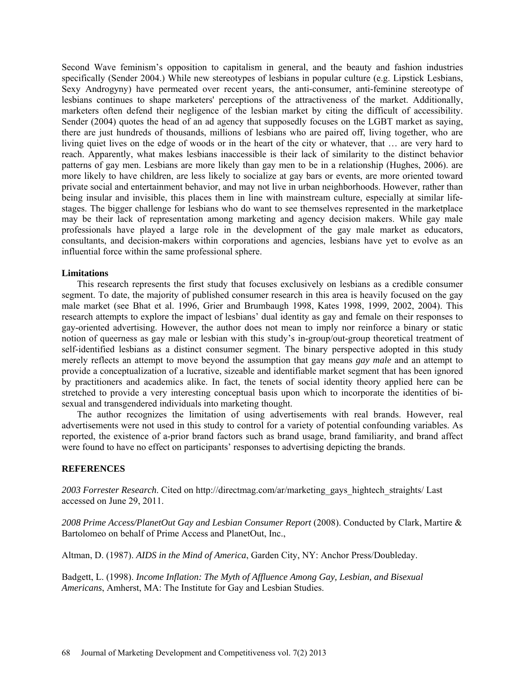Second Wave feminism's opposition to capitalism in general, and the beauty and fashion industries specifically (Sender 2004.) While new stereotypes of lesbians in popular culture (e.g. Lipstick Lesbians, Sexy Androgyny) have permeated over recent years, the anti-consumer, anti-feminine stereotype of lesbians continues to shape marketers' perceptions of the attractiveness of the market. Additionally, marketers often defend their negligence of the lesbian market by citing the difficult of accessibility. Sender (2004) quotes the head of an ad agency that supposedly focuses on the LGBT market as saying, there are just hundreds of thousands, millions of lesbians who are paired off, living together, who are living quiet lives on the edge of woods or in the heart of the city or whatever, that … are very hard to reach. Apparently, what makes lesbians inaccessible is their lack of similarity to the distinct behavior patterns of gay men. Lesbians are more likely than gay men to be in a relationship (Hughes, 2006). are more likely to have children, are less likely to socialize at gay bars or events, are more oriented toward private social and entertainment behavior, and may not live in urban neighborhoods. However, rather than being insular and invisible, this places them in line with mainstream culture, especially at similar lifestages. The bigger challenge for lesbians who do want to see themselves represented in the marketplace may be their lack of representation among marketing and agency decision makers. While gay male professionals have played a large role in the development of the gay male market as educators, consultants, and decision-makers within corporations and agencies, lesbians have yet to evolve as an influential force within the same professional sphere.

# **Limitations**

This research represents the first study that focuses exclusively on lesbians as a credible consumer segment. To date, the majority of published consumer research in this area is heavily focused on the gay male market (see Bhat et al. 1996, Grier and Brumbaugh 1998, Kates 1998, 1999, 2002, 2004). This research attempts to explore the impact of lesbians' dual identity as gay and female on their responses to gay-oriented advertising. However, the author does not mean to imply nor reinforce a binary or static notion of queerness as gay male or lesbian with this study's in-group/out-group theoretical treatment of self-identified lesbians as a distinct consumer segment. The binary perspective adopted in this study merely reflects an attempt to move beyond the assumption that gay means *gay male* and an attempt to provide a conceptualization of a lucrative, sizeable and identifiable market segment that has been ignored by practitioners and academics alike. In fact, the tenets of social identity theory applied here can be stretched to provide a very interesting conceptual basis upon which to incorporate the identities of bisexual and transgendered individuals into marketing thought.

The author recognizes the limitation of using advertisements with real brands. However, real advertisements were not used in this study to control for a variety of potential confounding variables. As reported, the existence of a-prior brand factors such as brand usage, brand familiarity, and brand affect were found to have no effect on participants' responses to advertising depicting the brands.

# **REFERENCES**

*2003 Forrester Research*. Cited on http://directmag.com/ar/marketing\_gays\_hightech\_straights/ Last accessed on June 29, 2011.

*2008 Prime Access/PlanetOut Gay and Lesbian Consumer Report* (2008). Conducted by Clark, Martire & Bartolomeo on behalf of Prime Access and PlanetOut, Inc.,

Altman, D. (1987). *AIDS in the Mind of America*, Garden City, NY: Anchor Press/Doubleday.

Badgett, L. (1998). *Income Inflation: The Myth of Affluence Among Gay, Lesbian, and Bisexual Americans*, Amherst, MA: The Institute for Gay and Lesbian Studies.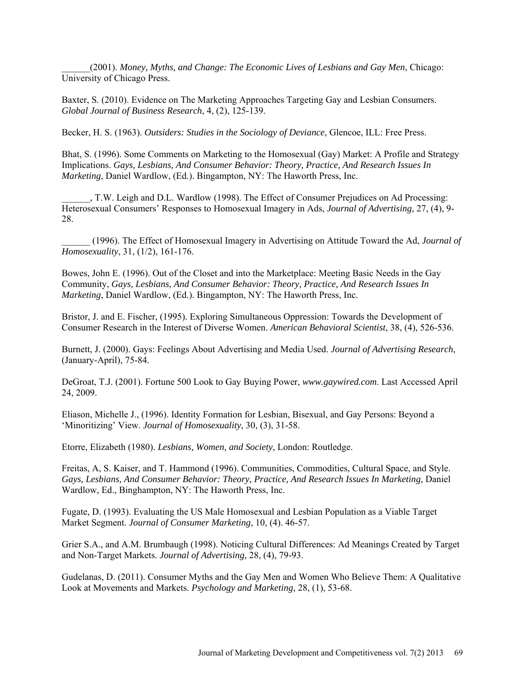\_\_\_\_\_\_(2001). *Money, Myths, and Change: The Economic Lives of Lesbians and Gay Men*, Chicago: University of Chicago Press.

Baxter, S. (2010). Evidence on The Marketing Approaches Targeting Gay and Lesbian Consumers. *Global Journal of Business Research*, 4, (2), 125-139.

Becker, H. S. (1963). *Outsiders: Studies in the Sociology of Deviance*, Glencoe, ILL: Free Press.

Bhat, S. (1996). Some Comments on Marketing to the Homosexual (Gay) Market: A Profile and Strategy Implications. *Gays, Lesbians, And Consumer Behavior: Theory, Practice, And Research Issues In Marketing*, Daniel Wardlow, (Ed.). Bingampton, NY: The Haworth Press, Inc.

\_\_\_\_\_\_, T.W. Leigh and D.L. Wardlow (1998). The Effect of Consumer Prejudices on Ad Processing: Heterosexual Consumers' Responses to Homosexual Imagery in Ads, *Journal of Advertising*, 27, (4), 9- 28.

\_\_\_\_\_\_ (1996). The Effect of Homosexual Imagery in Advertising on Attitude Toward the Ad, *Journal of Homosexuality*, 31, (1/2), 161-176.

Bowes, John E. (1996). Out of the Closet and into the Marketplace: Meeting Basic Needs in the Gay Community, *Gays, Lesbians, And Consumer Behavior: Theory, Practice, And Research Issues In Marketing*, Daniel Wardlow, (Ed.). Bingampton, NY: The Haworth Press, Inc.

Bristor, J. and E. Fischer, (1995). Exploring Simultaneous Oppression: Towards the Development of Consumer Research in the Interest of Diverse Women. *American Behavioral Scientist*, 38, (4), 526-536.

Burnett, J. (2000). Gays: Feelings About Advertising and Media Used. *Journal of Advertising Research*, (January-April), 75-84.

DeGroat, T.J. (2001). Fortune 500 Look to Gay Buying Power, *www.gaywired.com*. Last Accessed April 24, 2009.

Eliason, Michelle J., (1996). Identity Formation for Lesbian, Bisexual, and Gay Persons: Beyond a 'Minoritizing' View. *Journal of Homosexuality*, 30, (3), 31-58.

Etorre, Elizabeth (1980). *Lesbians, Women, and Society*, London: Routledge.

Freitas, A, S. Kaiser, and T. Hammond (1996). Communities, Commodities, Cultural Space, and Style. *Gays, Lesbians, And Consumer Behavior: Theory, Practice, And Research Issues In Marketing*, Daniel Wardlow, Ed., Binghampton, NY: The Haworth Press, Inc.

Fugate, D. (1993). Evaluating the US Male Homosexual and Lesbian Population as a Viable Target Market Segment. *Journal of Consumer Marketing*, 10, (4). 46-57.

Grier S.A., and A.M. Brumbaugh (1998). Noticing Cultural Differences: Ad Meanings Created by Target and Non-Target Markets. *Journal of Advertising*, 28, (4), 79-93.

Gudelanas, D. (2011). Consumer Myths and the Gay Men and Women Who Believe Them: A Qualitative Look at Movements and Markets. *Psychology and Marketing*, 28, (1), 53-68.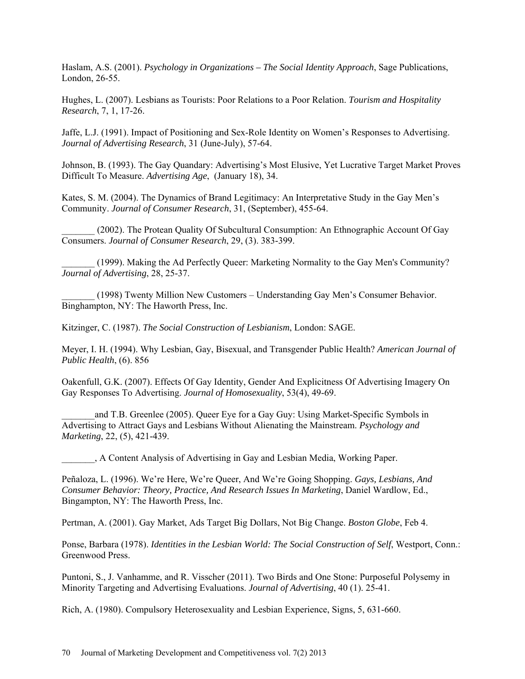Haslam, A.S. (2001). *Psychology in Organizations – The Social Identity Approach*, Sage Publications, London, 26-55.

Hughes, L. (2007). Lesbians as Tourists: Poor Relations to a Poor Relation. *Tourism and Hospitality Research*, 7, 1, 17-26.

Jaffe, L.J. (1991). Impact of Positioning and Sex-Role Identity on Women's Responses to Advertising. *Journal of Advertising Research*, 31 (June-July), 57-64.

Johnson, B. (1993). The Gay Quandary: Advertising's Most Elusive, Yet Lucrative Target Market Proves Difficult To Measure. *Advertising Age*, (January 18), 34.

Kates, S. M. (2004). The Dynamics of Brand Legitimacy: An Interpretative Study in the Gay Men's Community. *Journal of Consumer Research*, 31, (September), 455-64.

\_\_\_\_\_\_\_ (2002). The Protean Quality Of Subcultural Consumption: An Ethnographic Account Of Gay Consumers. *Journal of Consumer Research*, 29, (3). 383-399.

\_\_\_\_\_\_\_ (1999). Making the Ad Perfectly Queer: Marketing Normality to the Gay Men's Community? *Journal of Advertising*, 28, 25-37.

\_\_\_\_\_\_\_ (1998) Twenty Million New Customers – Understanding Gay Men's Consumer Behavior. Binghampton, NY: The Haworth Press, Inc.

Kitzinger, C. (1987). *The Social Construction of Lesbianism*, London: SAGE.

Meyer, I. H. (1994). Why Lesbian, Gay, Bisexual, and Transgender Public Health? *American Journal of Public Health*, (6). 856

Oakenfull, G.K. (2007). Effects Of Gay Identity, Gender And Explicitness Of Advertising Imagery On Gay Responses To Advertising. *Journal of Homosexuality*, 53(4), 49-69.

and T.B. Greenlee (2005). Queer Eye for a Gay Guy: Using Market-Specific Symbols in Advertising to Attract Gays and Lesbians Without Alienating the Mainstream. *Psychology and Marketing*, 22, (5), 421-439.

\_\_\_\_\_\_\_, A Content Analysis of Advertising in Gay and Lesbian Media, Working Paper.

Peñaloza, L. (1996). We're Here, We're Queer, And We're Going Shopping. *Gays, Lesbians, And Consumer Behavior: Theory, Practice, And Research Issues In Marketing*, Daniel Wardlow, Ed., Bingampton, NY: The Haworth Press, Inc.

Pertman, A. (2001). Gay Market, Ads Target Big Dollars, Not Big Change. *Boston Globe*, Feb 4.

Ponse, Barbara (1978). *Identities in the Lesbian World: The Social Construction of Self*, Westport, Conn.: Greenwood Press.

Puntoni, S., J. Vanhamme, and R. Visscher (2011). Two Birds and One Stone: Purposeful Polysemy in Minority Targeting and Advertising Evaluations. *Journal of Advertising*, 40 (1). 25-41.

Rich, A. (1980). Compulsory Heterosexuality and Lesbian Experience, Signs, 5, 631-660.